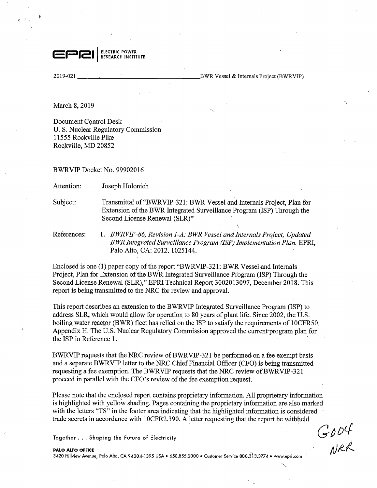

2019-021

BWR Vessel & Internals Project (BWRVIP)

 $\mathcal{L}$ 

March 8, 2019

Document Control Desk U.S. Nuclear Regulatory Commission 11555 Rockville Pike Rockville, MD 20852

BWRVIP Docket No. 99902016

Attention: Joseph Holonich

Subject: Transmittal of"BWRVIP-321: BWR Vessel and Internals Project, Plan for Extension of the BWR Integrated Surveillance Program (ISP) Through the Second License Renewal (SLR)"

References: I. *BWRVIP-86, Revision 1-A: BWR Vessel and Internals Project, Updated BWR Integrated Surveillance Program (ISP) Implementation Plan.* EPRI, Palo Alto, CA: 2012. 1025144. .

Enclosed is one (1) paper copy of the report "BWRVIP-321: BWR Vessel and Internals Project, Plan for Extension of the BWR Integrated Surveillance Program (ISP) Through the Second License Renewal (SLR)," EPRI Technical Report 3002013097, December 2018. This report is being transmitted to the NRC for review and approval.

This report describes an extension to the BWRVIP Integrated Surveillance Program (ISP) to address SLR, which would allow for operation to 80 years of plant life. Since 2002, the U.S. boiling water reactor (BWR) fleet has relied on the ISP to satisfy the requirements of 10CFR50. Appendix H. The U.S. Nuclear Regulatory Commission approved the current program plan for the ISP in Reference 1.

BWRVIP requests that the NRC review of BWRVIP-321 be performed on a fee exempt basis and a separate BWRVIP letter to the NRC Chief Financial Officer (CFO) is being transmitted requesting a fee exemption. The BWRVIP requests that the NRC review of BWRVIP-321 proceed in parallel with the CFO's review of the fee exemption request.

Please note that the enclosed report contains proprietary information. All proprietary information is highlighted with yellow shading. Pages containing the proprietary information are also marked with the letters "TS" in the footer area indicating that the highlighted information is considered  $\cdot$ trade secrets in accordance with 10CFR2.390. A letter requesting that the report be withheld

Together ... Shaping the Future of Electricity

**PALO ALTO OFFICE**  3420 Hillview Avenue, Palo Alto, CA 94304-1395 USA• 650.855.2000 • Customer Service 800.313.3774 • www.epri.com

 $G$ <sub>*O*</sub>OU

'-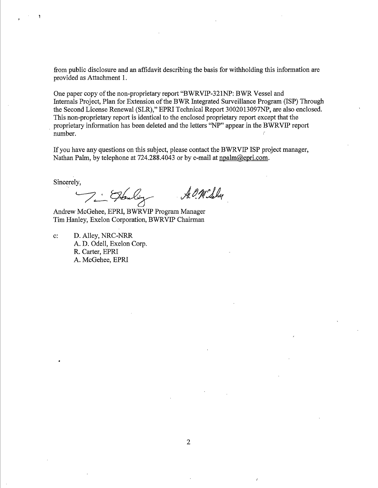from public disclosure and an affidavit describing the basis for withholding this information are provided as Attachment 1.

One paper copy of the non-proprietary report "BWRVIP-321NP: BWR Vessel and Internals Project, Plan for Extension of the BWR Integrated Surveillance Program (ISP) Through the Second License Renewal (SLR)," EPRI Technical Report 3002013097NP, are also enclosed. This non-proprietary report is identical to the enclosed proprietary report except that the proprietary information has been deleted and the letters "NP" appear in the BWRVIP report number.

If you have any questions on this subject, please contact the BWRVIP ISP project manager, Nathan Palm, by telephone at 724.288.4043 or by e-mail at npalm@epri.com.

Sincerely,

A. O. M. Sely /.\_\_:\_\_~

Andrew McGehee, EPRI, BWRVIP Program Manager Tim Hanley, Exelon Corporation, BWRVIP Chairman

c: D. Alley, NRC-NRR A. D. Odell, Exelon Corp. R. Carter, EPRI A. McGehee, EPRI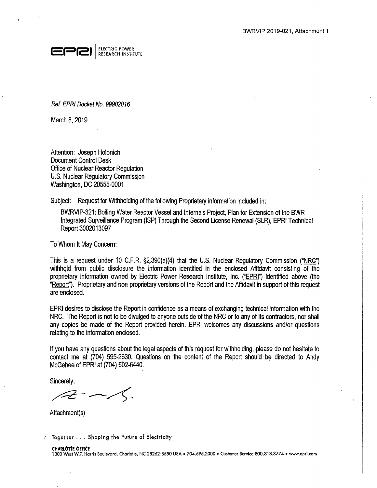

Ref. EPRI Docket No. 99902016

March 8, 2019

Ĭ.

Attention: Joseph Holonich Document Control Desk Office of Nuclear Reactor Regulation U.S. Nuclear Regulatory Commission Washington, DC 20555-0001

Subject: Request for Withholding of the following Proprietary information included in:

BWRVIP-321: Boiling Water Reactor Vessel and Internals Project, Plan for Extension of the BWR Integrated Surveillance Program (ISP) Through the Second License Renewal (SLR), EPRI Technical Report 3002013097

To Whom It May Concern:

This is a request under 10 C.F.R. §2\_.390(a)(4) that the U.S. Nuclear Regulatory Commission ("NRC") withhold from public disclosure the information identified in the enclosed Affidavit consisting of the proprietary information owned by Electric Power Research Institute, Inc. ("EPRI") identified above (the "Report"). Proprietary and non-proprietary versions of the Report and the Affidavit in support of this request are enclosed.

EPRI desires to disclose the Report in confidence as a means of exchanging technical information with the NRC. The Report is not to be divulged to anyone outside of the NRC or to any of its contractors, nor shall any copies be made of the Report provided herein. EPRI welcomes any discussions and/or questions relating to the information enclosed.

If you have any questions about the legal aspects of this request for withholding, please do not hesitate to contact me at (704) 595-2630. Questions on the content of the Report should be directed to Andy McGehee of EPRI at (704) 502-6440.

Sincerely,

 $\overbrace{ }$ 

Attachment(s)

**1** Together . . . Shaping the Future of Electricity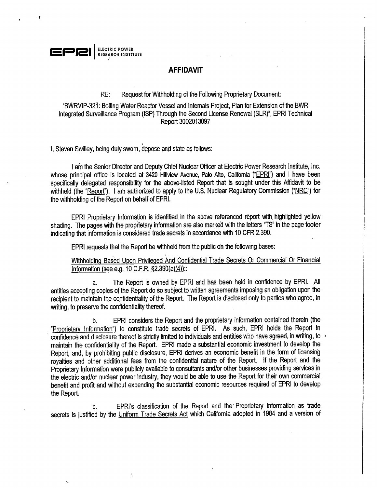

## **AFFIDAVIT**

## RE: Request for Withholding of the Following Proprietary Document:

"BWRVIP-321: Boiling Water Reactor Vessel and Internals Project, Plan for Extension of the BWR Integrated Surveillance Program (ISP) Through the Second License Renewal (SLR)", EPRI Technical · Report 3002013097

I, Steven Swilley, being duly sworn, depose and state as follows:

I

I am the Senior Director and Deputy Chief Nuclear Officer at Electric Power Research Institute, Inc. whose principal office is located at 3420 Hillview Avenue, Palo Alto, California ("EPRI") and I have been specifically delegated responsibility for the above-listed Report that is sought under this Affidavit to be withheld (the "Report"). I am authorized to apply to the U.S. Nuclear Regulatory Commission ("NRC") for the withholding of the Report on behalf of EPRI.

EPRI Proprietary Information is identified, in the above referenced report with, highlighted yellow shading. The pages with the proprietary information are also marked with the letters "TS" in the page footer indicating that information is considered trade secrets in accordance with 10 CFR 2.390.

EPRI requests that the Report be withheld from the public on the following bases:

Withholding Based Upon Privileged And Confidential Trade Secrets Or Commercial Or Financial Information (see e.g. 10 C.F.R. §2.390(a)(4))::

a. The Report is owned by EPRI and has been held in confidence by EPRI. All entities accepting copies of the Report do so subject to written agreements imposing an obligation upon the recipient to maintain the confidentiality of the Report. The Report is disclosed only to parties who agree, in writing, to preserve the confidentiality thereof.

b. EPRI considers the Report and the proprietary information contained therein (the "Proprietary Information") to constitute trade secrets of EPRI. As such, EPRI holds the Report in confidence and disclosure thereof is strictly limited to individuals and entities who have agreed, in writing, to maintain the confidentiality of the Report. EPRI made a substantial economic investment to develop the Report, and, by prohibiting public disclosure, EPRI derives an economic benefit in the form of licensing royalties and other additional fees from the confidential nature of the Report. If the Report and the Proprietary Information were publicly available to consultants and/or other businesses providing services in the electric and/or nuclear power industry, they would be able to use the Report for their own commercial benefit and profit and without expending the substantial economic resources required of EPRI to develop the Report.

c. EPRl's classification of the Report and the· Proprietary Information as trade secrets is justified by the Uniform Trade Secrets Act which California adopted in 1984 and a version of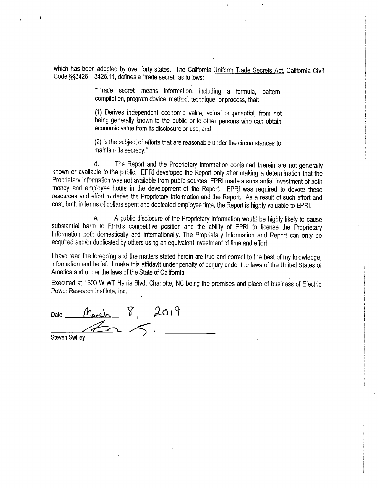which has been adopted by over forty states. The California Uniform Trade Secrets Act, California Civil Code §§3426 - 3426.11, defines a "trade secret" as follows:

-,

"'Trade secret' means information, including a formula, pattern, compilation, program device, method, technique, or process, that:

(1) Derives independent economic value, actual or potential, from not being generally known to the public or to other persons who can obtain economic value from its disclosure or use; and

(2) Is the subject of efforts that are reasonable under the circumstances to maintain its secrecy."

d. The Report and the Proprietary Information contained therein are not generally known or available to the public. EPRI developed the Report only after making a determination that the Proprietary Information was not available from public sources. EPRI made a substantial investment of both money and employee hours in the development of the Report. EPRJ was required to devote these resources and effort to derive the Proprietary Information and the Report. As a result of such effort and cost, both in terms of dollars spent and dedicated employee time, the Report is highly valuable to EPRI.

e. A public disclosure of the Proprietary Information would be highly likely to cause substantial harm to EPRI's competitive position and the ability of EPRI to license the Proprietary Information both domestically and internationally. The Proprietary Information and Report can only be acquired and/or duplicated by others using an equivalent investment of time and effort.

<sup>I</sup>have read the foregoing and the matters stated herein are true and correct to the best of my knowledge, information and belief. I make this affidavit under penalty of perjury under the laws of the United States of America and under the laws of the State of California.

Executed at 1300 W WT Harris Blvd, Charlotte, NC being the premises and place of business of Electric Power Research Institute, Inc.

Date: *March* 8, 2019 steven Swilley **4, Alexander Strategy**